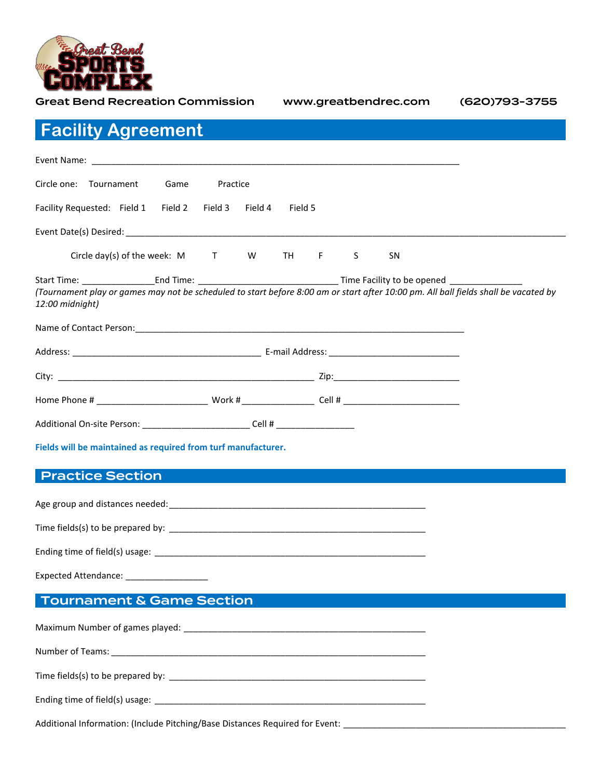

Great Bend Recreation Commission www.greatbendrec.com (620)793-3755 **Facility Agreement** Event Name: \_\_\_\_\_\_\_\_\_\_\_\_\_\_\_\_\_\_\_\_\_\_\_\_\_\_\_\_\_\_\_\_\_\_\_\_\_\_\_\_\_\_\_\_\_\_\_\_\_\_\_\_\_\_\_\_\_\_\_\_\_\_\_\_\_\_\_\_\_\_\_\_\_\_\_\_ Circle one: Tournament Game Practice Facility Requested: Field 1 Field 2 Field 3 Field 4 Field 5 Event Date(s) Desired: \_\_\_\_\_\_\_\_\_\_\_\_\_\_\_\_\_\_\_\_\_\_\_\_\_\_\_\_\_\_\_\_\_\_\_\_\_\_\_\_\_\_\_\_\_\_\_\_\_\_\_\_\_\_\_\_\_\_\_\_\_\_\_\_\_\_\_\_\_\_\_\_\_\_\_\_\_\_\_\_\_\_\_\_\_\_\_\_\_\_\_ Circle day(s) of the week: M T W TH F S SN Start Time: \_\_\_\_\_\_\_\_\_\_\_\_\_\_\_End Time: \_\_\_\_\_\_\_\_\_\_\_\_\_\_\_\_\_\_\_\_\_\_\_\_\_\_\_\_\_ Time Facility to be opened \_\_\_\_\_\_\_\_\_\_\_\_\_\_\_ *(Tournament play or games may not be scheduled to start before 8:00 am or start after 10:00 pm. All ball fields shall be vacated by 12:00 midnight)* Name of Contact Person:\_\_\_\_\_\_\_\_\_\_\_\_\_\_\_\_\_\_\_\_\_\_\_\_\_\_\_\_\_\_\_\_\_\_\_\_\_\_\_\_\_\_\_\_\_\_\_\_\_\_\_\_\_\_\_\_\_\_\_\_\_\_\_\_\_\_\_\_ Address: example and the contract of the E-mail Address:  $E$ -mail Address:  $E$ -mail Address:  $E$ -mail Address:  $E$ -mail Address:  $E$ -mail Address:  $E$ -mail Address:  $E$ -mail Address:  $E$ -mail Address:  $E$ -mail Address:  $E$ 

| City:                      |        | Zip:   |  |
|----------------------------|--------|--------|--|
| Home Phone #               | Work # | Cell # |  |
| Additional On-site Person: | Cell # |        |  |

**Fields will be maintained as required from turf manufacturer.**

### Practice Section

Age group and distances needed:\_\_\_\_\_\_\_\_\_\_\_\_\_\_\_\_\_\_\_\_\_\_\_\_\_\_\_\_\_\_\_\_\_\_\_\_\_\_\_\_\_\_\_\_\_\_\_\_\_\_\_\_\_

Time fields(s) to be prepared by: \_\_\_\_\_\_\_\_\_\_\_\_\_\_\_\_\_\_\_\_\_\_\_\_\_\_\_\_\_\_\_\_\_\_\_\_\_\_\_\_\_\_\_\_\_\_\_\_\_\_\_\_\_

Ending time of field(s) usage: \_\_\_\_\_\_\_\_\_\_\_\_\_\_\_\_\_\_\_\_\_\_\_\_\_\_\_\_\_\_\_\_\_\_\_\_\_\_\_\_\_\_\_\_\_\_\_\_\_\_\_\_\_\_\_\_

Expected Attendance: \_\_\_\_\_\_\_\_\_\_\_\_\_\_\_\_\_

# Tournament & Game Section

Maximum Number of games played: \_\_\_\_\_\_\_\_\_\_\_\_\_\_\_\_\_\_\_\_\_\_\_\_\_\_\_\_\_\_\_\_\_\_\_\_\_\_\_\_\_\_\_\_\_\_\_\_\_\_ Number of Teams: \_\_\_\_\_\_\_\_\_\_\_\_\_\_\_\_\_\_\_\_\_\_\_\_\_\_\_\_\_\_\_\_\_\_\_\_\_\_\_\_\_\_\_\_\_\_\_\_\_\_\_\_\_\_\_\_\_\_\_\_\_\_\_\_\_ Time fields(s) to be prepared by: \_\_\_\_\_\_\_\_\_\_\_\_\_\_\_\_\_\_\_\_\_\_\_\_\_\_\_\_\_\_\_\_\_\_\_\_\_\_\_\_\_\_\_\_\_\_\_\_\_\_\_\_\_ Ending time of field(s) usage:  $\frac{1}{2}$  =  $\frac{1}{2}$  =  $\frac{1}{2}$  =  $\frac{1}{2}$  =  $\frac{1}{2}$  =  $\frac{1}{2}$  =  $\frac{1}{2}$  =  $\frac{1}{2}$  =  $\frac{1}{2}$  =  $\frac{1}{2}$  =  $\frac{1}{2}$  =  $\frac{1}{2}$  =  $\frac{1}{2}$  =  $\frac{1}{2}$  =  $\frac{1}{2}$  =  $\frac{1}{2}$ 

Additional Information: (Include Pitching/Base Distances Required for Event: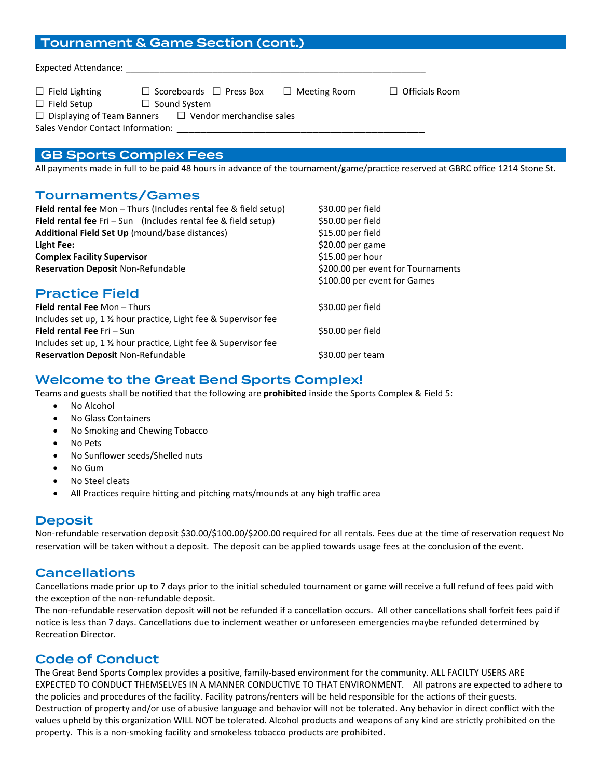# Tournament & Game Section (cont.)

| $\Box$ Field Lighting             | $\Box$ Scoreboards $\Box$ Press Box<br>$\Box$ Meeting Room        | $\Box$ Officials Room |
|-----------------------------------|-------------------------------------------------------------------|-----------------------|
|                                   |                                                                   |                       |
| $\Box$ Field Setup                | $\Box$ Sound System                                               |                       |
|                                   | $\Box$ Displaying of Team Banners $\Box$ Vendor merchandise sales |                       |
| Sales Vendor Contact Information: |                                                                   |                       |

### GB Sports Complex Fees

All payments made in full to be paid 48 hours in advance of the tournament/game/practice reserved at GBRC office 1214 Stone St.

#### Tournaments/Games

| <b>Field rental fee</b> Mon - Thurs (Includes rental fee & field setup) | \$30.00 per field                  |  |  |
|-------------------------------------------------------------------------|------------------------------------|--|--|
| Field rental fee Fri - Sun (Includes rental fee & field setup)          | \$50.00 per field                  |  |  |
| Additional Field Set Up (mound/base distances)                          | \$15.00 per field                  |  |  |
| Light Fee:                                                              | \$20.00 per game                   |  |  |
| <b>Complex Facility Supervisor</b>                                      | $$15.00$ per hour                  |  |  |
| <b>Reservation Deposit Non-Refundable</b>                               | \$200.00 per event for Tournaments |  |  |
|                                                                         | \$100.00 per event for Games       |  |  |
| <b>Practice Field</b>                                                   |                                    |  |  |
| <b>Field rental Fee Mon-Thurs</b>                                       | \$30.00 per field                  |  |  |
| Includes set up, 1 % hour practice, Light fee & Supervisor fee          |                                    |  |  |
| Field rental Fee Fri - Sun                                              | \$50.00 per field                  |  |  |
| Includes set up, 1 % hour practice, Light fee & Supervisor fee          |                                    |  |  |
| <b>Reservation Deposit Non-Refundable</b>                               | \$30.00 per team                   |  |  |
|                                                                         |                                    |  |  |

## Welcome to the Great Bend Sports Complex!

Teams and guests shall be notified that the following are **prohibited** inside the Sports Complex & Field 5:

- No Alcohol
- No Glass Containers
- No Smoking and Chewing Tobacco
- No Pets
- No Sunflower seeds/Shelled nuts
- No Gum
- No Steel cleats
- All Practices require hitting and pitching mats/mounds at any high traffic area

#### Deposit

Non-refundable reservation deposit \$30.00/\$100.00/\$200.00 required for all rentals. Fees due at the time of reservation request No reservation will be taken without a deposit. The deposit can be applied towards usage fees at the conclusion of the event.

### Cancellations

Cancellations made prior up to 7 days prior to the initial scheduled tournament or game will receive a full refund of fees paid with the exception of the non-refundable deposit.

The non-refundable reservation deposit will not be refunded if a cancellation occurs. All other cancellations shall forfeit fees paid if notice is less than 7 days. Cancellations due to inclement weather or unforeseen emergencies maybe refunded determined by Recreation Director.

# Code of Conduct

The Great Bend Sports Complex provides a positive, family-based environment for the community. ALL FACILTY USERS ARE EXPECTED TO CONDUCT THEMSELVES IN A MANNER CONDUCTIVE TO THAT ENVIRONMENT. All patrons are expected to adhere to the policies and procedures of the facility. Facility patrons/renters will be held responsible for the actions of their guests. Destruction of property and/or use of abusive language and behavior will not be tolerated. Any behavior in direct conflict with the values upheld by this organization WILL NOT be tolerated. Alcohol products and weapons of any kind are strictly prohibited on the property. This is a non-smoking facility and smokeless tobacco products are prohibited.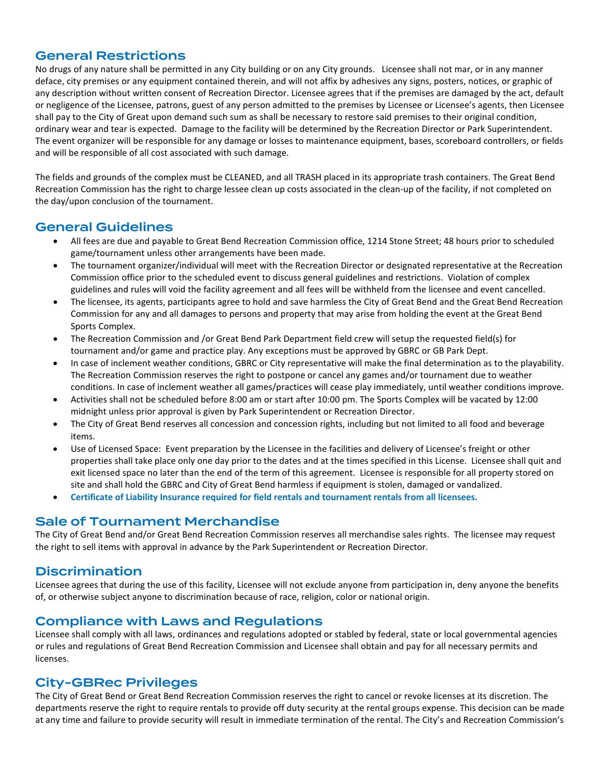# General Restrictions

No drugs of any nature shall be permitted in any City building or on any City grounds. Licensee shall not mar, or in any manner deface, city premises or any equipment contained therein, and will not affix by adhesives any signs, posters, notices, or graphic of any description without written consent of Recreation Director. Licensee agrees that if the premises are damaged by the act, default or negligence of the Licensee, patrons, guest of any person admitted to the premises by Licensee or Licensee's agents, then Licensee shall pay to the City of Great upon demand such sum as shall be necessary to restore said premises to their original condition, ordinary wear and tear is expected. Damage to the facility will be determined by the Recreation Director or Park Superintendent. The event organizer will be responsible for any damage or losses to maintenance equipment, bases, scoreboard controllers, or fields and will be responsible of all cost associated with such damage.

The fields and grounds of the complex must be CLEANED, and all TRASH placed in its appropriate trash containers. The Great Bend Recreation Commission has the right to charge lessee clean up costs associated in the clean-up of the facility, if not completed on the day/upon conclusion of the tournament.

# General Guidelines

- All fees are due and payable to Great Bend Recreation Commission office, 1214 Stone Street; 48 hours prior to scheduled game/tournament unless other arrangements have been made.
- The tournament organizer/individual will meet with the Recreation Director or designated representative at the Recreation Commission office prior to the scheduled event to discuss general guidelines and restrictions. Violation of complex guidelines and rules will void the facility agreement and all fees will be withheld from the licensee and event cancelled.
- The licensee, its agents, participants agree to hold and save harmless the City of Great Bend and the Great Bend Recreation Commission for any and all damages to persons and property that may arise from holding the event at the Great Bend Sports Complex.
- The Recreation Commission and /or Great Bend Park Department field crew will setup the requested field(s) for tournament and/or game and practice play. Any exceptions must be approved by GBRC or GB Park Dept.
- In case of inclement weather conditions, GBRC or City representative will make the final determination as to the playability. The Recreation Commission reserves the right to postpone or cancel any games and/or tournament due to weather conditions. In case of inclement weather all games/practices will cease play immediately, until weather conditions improve.
- Activities shall not be scheduled before 8:00 am or start after 10:00 pm. The Sports Complex will be vacated by 12:00 midnight unless prior approval is given by Park Superintendent or Recreation Director.
- The City of Great Bend reserves all concession and concession rights, including but not limited to all food and beverage items.
- Use of Licensed Space: Event preparation by the Licensee in the facilities and delivery of Licensee's freight or other properties shall take place only one day prior to the dates and at the times specified in this License. Licensee shall quit and exit licensed space no later than the end of the term of this agreement. Licensee is responsible for all property stored on site and shall hold the GBRC and City of Great Bend harmless if equipment is stolen, damaged or vandalized.
- **Certificate of Liability Insurance required for field rentals and tournament rentals from all licensees.**

### Sale of Tournament Merchandise

The City of Great Bend and/or Great Bend Recreation Commission reserves all merchandise sales rights. The licensee may request the right to sell items with approval in advance by the Park Superintendent or Recreation Director.

# Discrimination

Licensee agrees that during the use of this facility, Licensee will not exclude anyone from participation in, deny anyone the benefits of, or otherwise subject anyone to discrimination because of race, religion, color or national origin.

# Compliance with Laws and Regulations

Licensee shall comply with all laws, ordinances and regulations adopted or stabled by federal, state or local governmental agencies or rules and regulations of Great Bend Recreation Commission and Licensee shall obtain and pay for all necessary permits and licenses.

# City-GBRec Privileges

The City of Great Bend or Great Bend Recreation Commission reserves the right to cancel or revoke licenses at its discretion. The departments reserve the right to require rentals to provide off duty security at the rental groups expense. This decision can be made at any time and failure to provide security will result in immediate termination of the rental. The City's and Recreation Commission's